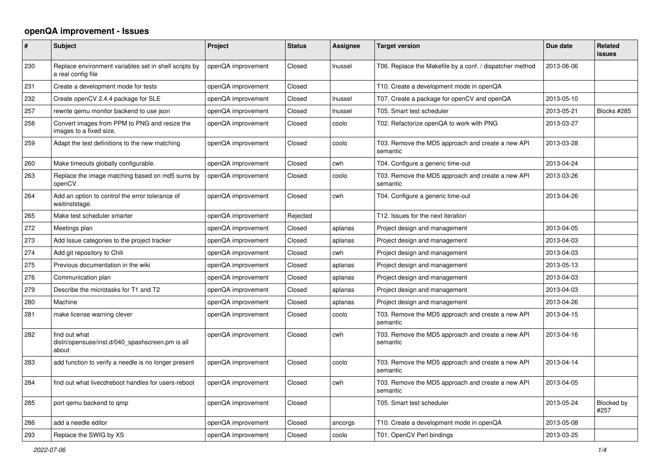## **openQA improvement - Issues**

| $\#$ | <b>Subject</b>                                                              | Project            | <b>Status</b> | Assignee | <b>Target version</b>                                         | Due date   | <b>Related</b><br><b>issues</b> |
|------|-----------------------------------------------------------------------------|--------------------|---------------|----------|---------------------------------------------------------------|------------|---------------------------------|
| 230  | Replace environment variables set in shell scripts by<br>a real config file | openQA improvement | Closed        | Inussel  | T06. Replace the Makefile by a conf. / dispatcher method      | 2013-06-06 |                                 |
| 231  | Create a development mode for tests                                         | openQA improvement | Closed        |          | T10. Create a development mode in openQA                      |            |                                 |
| 232  | Create openCV 2.4.4 package for SLE                                         | openQA improvement | Closed        | Inussel  | T07. Create a package for openCV and openQA                   | 2013-05-10 |                                 |
| 257  | rewrite qemu monitor backend to use json                                    | openQA improvement | Closed        | Inussel  | T05. Smart test scheduler                                     | 2013-05-21 | Blocks #285                     |
| 258  | Convert images from PPM to PNG and resize the<br>images to a fixed size.    | openQA improvement | Closed        | coolo    | T02. Refactorize openQA to work with PNG                      | 2013-03-27 |                                 |
| 259  | Adapt the test definitions to the new matching                              | openQA improvement | Closed        | coolo    | T03. Remove the MD5 approach and create a new API<br>semantic | 2013-03-28 |                                 |
| 260  | Make timeouts globally configurable.                                        | openQA improvement | Closed        | cwh      | T04. Configure a generic time-out                             | 2013-04-24 |                                 |
| 263  | Replace the image matching based on md5 sums by<br>openCV.                  | openQA improvement | Closed        | coolo    | T03. Remove the MD5 approach and create a new API<br>semantic | 2013-03-26 |                                 |
| 264  | Add an option to control the error tolerance of<br>waitinststage.           | openQA improvement | Closed        | cwh      | T04. Configure a generic time-out                             | 2013-04-26 |                                 |
| 265  | Make test scheduler smarter                                                 | openQA improvement | Rejected      |          | T12. Issues for the next iteration                            |            |                                 |
| 272  | Meetings plan                                                               | openQA improvement | Closed        | aplanas  | Project design and management                                 | 2013-04-05 |                                 |
| 273  | Add Issue categories to the project tracker                                 | openQA improvement | Closed        | aplanas  | Project design and management                                 | 2013-04-03 |                                 |
| 274  | Add git repository to Chili                                                 | openQA improvement | Closed        | cwh      | Project design and management                                 | 2013-04-03 |                                 |
| 275  | Previous documentation in the wiki                                          | openQA improvement | Closed        | aplanas  | Project design and management                                 | 2013-05-13 |                                 |
| 276  | Communication plan                                                          | openQA improvement | Closed        | aplanas  | Project design and management                                 | 2013-04-03 |                                 |
| 279  | Describe the microtasks for T1 and T2                                       | openQA improvement | Closed        | aplanas  | Project design and management                                 | 2013-04-03 |                                 |
| 280  | Machine                                                                     | openQA improvement | Closed        | aplanas  | Project design and management                                 | 2013-04-26 |                                 |
| 281  | make license warning clever                                                 | openQA improvement | Closed        | coolo    | T03. Remove the MD5 approach and create a new API<br>semantic | 2013-04-15 |                                 |
| 282  | find out what<br>distri/opensuse/inst.d/040_spashscreen.pm is all<br>about  | openQA improvement | Closed        | cwh      | T03. Remove the MD5 approach and create a new API<br>semantic | 2013-04-16 |                                 |
| 283  | add function to verify a needle is no longer present                        | openQA improvement | Closed        | coolo    | T03. Remove the MD5 approach and create a new API<br>semantic | 2013-04-14 |                                 |
| 284  | find out what livecdreboot handles for users-reboot                         | openQA improvement | Closed        | cwh      | T03. Remove the MD5 approach and create a new API<br>semantic | 2013-04-05 |                                 |
| 285  | port gemu backend to qmp                                                    | openQA improvement | Closed        |          | T05. Smart test scheduler                                     | 2013-05-24 | Blocked by<br>#257              |
| 286  | add a needle editor                                                         | openQA improvement | Closed        | ancorgs  | T10. Create a development mode in openQA                      | 2013-05-08 |                                 |
| 293  | Replace the SWIG by XS                                                      | openQA improvement | Closed        | coolo    | T01. OpenCV Perl bindings                                     | 2013-03-25 |                                 |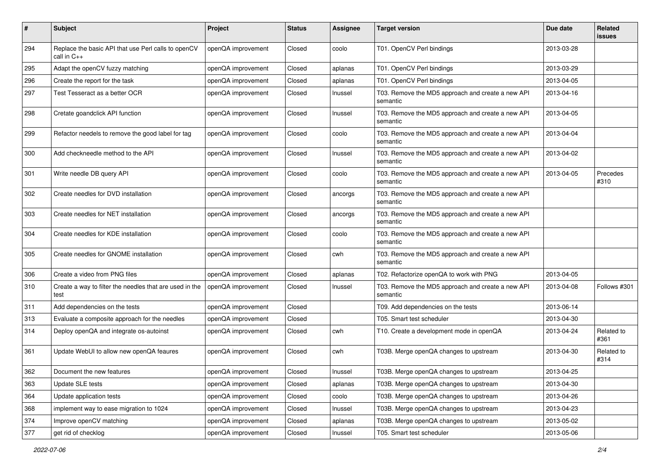| $\#$ | <b>Subject</b>                                                          | Project            | <b>Status</b> | Assignee | <b>Target version</b>                                         | Due date   | Related<br>issues  |
|------|-------------------------------------------------------------------------|--------------------|---------------|----------|---------------------------------------------------------------|------------|--------------------|
| 294  | Replace the basic API that use Perl calls to openCV<br>call in $C_{++}$ | openQA improvement | Closed        | coolo    | T01. OpenCV Perl bindings                                     | 2013-03-28 |                    |
| 295  | Adapt the openCV fuzzy matching                                         | openQA improvement | Closed        | aplanas  | T01. OpenCV Perl bindings                                     | 2013-03-29 |                    |
| 296  | Create the report for the task                                          | openQA improvement | Closed        | aplanas  | T01. OpenCV Perl bindings                                     | 2013-04-05 |                    |
| 297  | Test Tesseract as a better OCR                                          | openQA improvement | Closed        | Inussel  | T03. Remove the MD5 approach and create a new API<br>semantic | 2013-04-16 |                    |
| 298  | Cretate goandclick API function                                         | openQA improvement | Closed        | Inussel  | T03. Remove the MD5 approach and create a new API<br>semantic | 2013-04-05 |                    |
| 299  | Refactor needels to remove the good label for tag                       | openQA improvement | Closed        | coolo    | T03. Remove the MD5 approach and create a new API<br>semantic | 2013-04-04 |                    |
| 300  | Add checkneedle method to the API                                       | openQA improvement | Closed        | Inussel  | T03. Remove the MD5 approach and create a new API<br>semantic | 2013-04-02 |                    |
| 301  | Write needle DB query API                                               | openQA improvement | Closed        | coolo    | T03. Remove the MD5 approach and create a new API<br>semantic | 2013-04-05 | Precedes<br>#310   |
| 302  | Create needles for DVD installation                                     | openQA improvement | Closed        | ancorgs  | T03. Remove the MD5 approach and create a new API<br>semantic |            |                    |
| 303  | Create needles for NET installation                                     | openQA improvement | Closed        | ancorgs  | T03. Remove the MD5 approach and create a new API<br>semantic |            |                    |
| 304  | Create needles for KDE installation                                     | openQA improvement | Closed        | coolo    | T03. Remove the MD5 approach and create a new API<br>semantic |            |                    |
| 305  | Create needles for GNOME installation                                   | openQA improvement | Closed        | cwh      | T03. Remove the MD5 approach and create a new API<br>semantic |            |                    |
| 306  | Create a video from PNG files                                           | openQA improvement | Closed        | aplanas  | T02. Refactorize openQA to work with PNG                      | 2013-04-05 |                    |
| 310  | Create a way to filter the needles that are used in the<br>test         | openQA improvement | Closed        | Inussel  | T03. Remove the MD5 approach and create a new API<br>semantic | 2013-04-08 | Follows #301       |
| 311  | Add dependencies on the tests                                           | openQA improvement | Closed        |          | T09. Add dependencies on the tests                            | 2013-06-14 |                    |
| 313  | Evaluate a composite approach for the needles                           | openQA improvement | Closed        |          | T05. Smart test scheduler                                     | 2013-04-30 |                    |
| 314  | Deploy openQA and integrate os-autoinst                                 | openQA improvement | Closed        | cwh      | T10. Create a development mode in openQA                      | 2013-04-24 | Related to<br>#361 |
| 361  | Update WebUI to allow new openQA feaures                                | openQA improvement | Closed        | cwh      | T03B. Merge openQA changes to upstream                        | 2013-04-30 | Related to<br>#314 |
| 362  | Document the new features                                               | openQA improvement | Closed        | Inussel  | T03B. Merge openQA changes to upstream                        | 2013-04-25 |                    |
| 363  | Update SLE tests                                                        | openQA improvement | Closed        | aplanas  | T03B. Merge openQA changes to upstream                        | 2013-04-30 |                    |
| 364  | Update application tests                                                | openQA improvement | Closed        | coolo    | T03B. Merge openQA changes to upstream                        | 2013-04-26 |                    |
| 368  | implement way to ease migration to 1024                                 | openQA improvement | Closed        | Inussel  | T03B. Merge openQA changes to upstream                        | 2013-04-23 |                    |
| 374  | Improve openCV matching                                                 | openQA improvement | Closed        | aplanas  | T03B. Merge openQA changes to upstream                        | 2013-05-02 |                    |
| 377  | get rid of checklog                                                     | openQA improvement | Closed        | Inussel  | T05. Smart test scheduler                                     | 2013-05-06 |                    |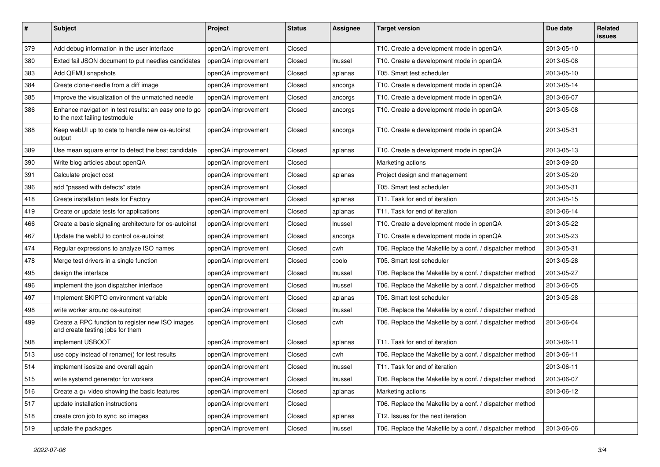| $\sharp$ | Subject                                                                                 | Project            | <b>Status</b> | <b>Assignee</b> | <b>Target version</b>                                    | Due date   | <b>Related</b><br><b>issues</b> |
|----------|-----------------------------------------------------------------------------------------|--------------------|---------------|-----------------|----------------------------------------------------------|------------|---------------------------------|
| 379      | Add debug information in the user interface                                             | openQA improvement | Closed        |                 | T10. Create a development mode in openQA                 | 2013-05-10 |                                 |
| 380      | Exted fail JSON document to put needles candidates                                      | openQA improvement | Closed        | Inussel         | T10. Create a development mode in openQA                 | 2013-05-08 |                                 |
| 383      | Add QEMU snapshots                                                                      | openQA improvement | Closed        | aplanas         | T05. Smart test scheduler                                | 2013-05-10 |                                 |
| 384      | Create clone-needle from a diff image                                                   | openQA improvement | Closed        | ancorgs         | T10. Create a development mode in openQA                 | 2013-05-14 |                                 |
| 385      | Improve the visualization of the unmatched needle                                       | openQA improvement | Closed        | ancorgs         | T10. Create a development mode in openQA                 | 2013-06-07 |                                 |
| 386      | Enhance navigation in test results: an easy one to go<br>to the next failing testmodule | openQA improvement | Closed        | ancorgs         | T10. Create a development mode in openQA                 | 2013-05-08 |                                 |
| 388      | Keep webUI up to date to handle new os-autoinst<br>output                               | openQA improvement | Closed        | ancorgs         | T10. Create a development mode in openQA                 | 2013-05-31 |                                 |
| 389      | Use mean square error to detect the best candidate                                      | openQA improvement | Closed        | aplanas         | T10. Create a development mode in openQA                 | 2013-05-13 |                                 |
| 390      | Write blog articles about openQA                                                        | openQA improvement | Closed        |                 | Marketing actions                                        | 2013-09-20 |                                 |
| 391      | Calculate project cost                                                                  | openQA improvement | Closed        | aplanas         | Project design and management                            | 2013-05-20 |                                 |
| 396      | add "passed with defects" state                                                         | openQA improvement | Closed        |                 | T05. Smart test scheduler                                | 2013-05-31 |                                 |
| 418      | Create installation tests for Factory                                                   | openQA improvement | Closed        | aplanas         | T11. Task for end of iteration                           | 2013-05-15 |                                 |
| 419      | Create or update tests for applications                                                 | openQA improvement | Closed        | aplanas         | T11. Task for end of iteration                           | 2013-06-14 |                                 |
| 466      | Create a basic signaling architecture for os-autoinst                                   | openQA improvement | Closed        | Inussel         | T10. Create a development mode in openQA                 | 2013-05-22 |                                 |
| 467      | Update the webIU to control os-autoinst                                                 | openQA improvement | Closed        | ancorgs         | T10. Create a development mode in openQA                 | 2013-05-23 |                                 |
| 474      | Regular expressions to analyze ISO names                                                | openQA improvement | Closed        | cwh             | T06. Replace the Makefile by a conf. / dispatcher method | 2013-05-31 |                                 |
| 478      | Merge test drivers in a single function                                                 | openQA improvement | Closed        | coolo           | T05. Smart test scheduler                                | 2013-05-28 |                                 |
| 495      | design the interface                                                                    | openQA improvement | Closed        | Inussel         | T06. Replace the Makefile by a conf. / dispatcher method | 2013-05-27 |                                 |
| 496      | implement the json dispatcher interface                                                 | openQA improvement | Closed        | Inussel         | T06. Replace the Makefile by a conf. / dispatcher method | 2013-06-05 |                                 |
| 497      | Implement SKIPTO environment variable                                                   | openQA improvement | Closed        | aplanas         | T05. Smart test scheduler                                | 2013-05-28 |                                 |
| 498      | write worker around os-autoinst                                                         | openQA improvement | Closed        | Inussel         | T06. Replace the Makefile by a conf. / dispatcher method |            |                                 |
| 499      | Create a RPC function to register new ISO images<br>and create testing jobs for them    | openQA improvement | Closed        | cwh             | T06. Replace the Makefile by a conf. / dispatcher method | 2013-06-04 |                                 |
| 508      | implement USBOOT                                                                        | openQA improvement | Closed        | aplanas         | T11. Task for end of iteration                           | 2013-06-11 |                                 |
| 513      | use copy instead of rename() for test results                                           | openQA improvement | Closed        | cwh             | T06. Replace the Makefile by a conf. / dispatcher method | 2013-06-11 |                                 |
| 514      | implement isosize and overall again                                                     | openQA improvement | Closed        | Inussel         | T11. Task for end of iteration                           | 2013-06-11 |                                 |
| 515      | write systemd generator for workers                                                     | openQA improvement | Closed        | Inussel         | T06. Replace the Makefile by a conf. / dispatcher method | 2013-06-07 |                                 |
| 516      | Create a g+ video showing the basic features                                            | openQA improvement | Closed        | aplanas         | Marketing actions                                        | 2013-06-12 |                                 |
| 517      | update installation instructions                                                        | openQA improvement | Closed        |                 | T06. Replace the Makefile by a conf. / dispatcher method |            |                                 |
| 518      | create cron job to sync iso images                                                      | openQA improvement | Closed        | aplanas         | T12. Issues for the next iteration                       |            |                                 |
| 519      | update the packages                                                                     | openQA improvement | Closed        | Inussel         | T06. Replace the Makefile by a conf. / dispatcher method | 2013-06-06 |                                 |